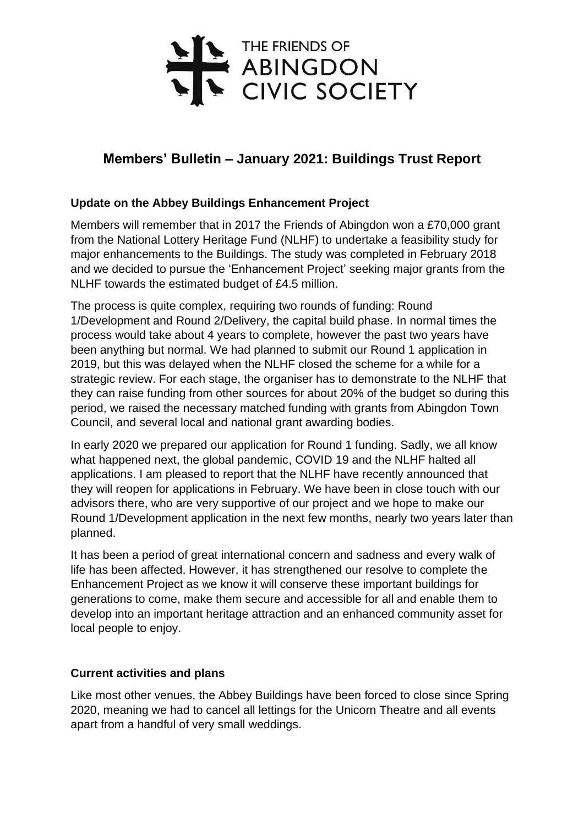

## **Members' Bulletin – January 2021: Buildings Trust Report**

## **Update on the Abbey Buildings Enhancement Project**

Members will remember that in 2017 the Friends of Abingdon won a £70,000 grant from the National Lottery Heritage Fund (NLHF) to undertake a feasibility study for major enhancements to the Buildings. The study was completed in February 2018 and we decided to pursue the 'Enhancement Project' seeking major grants from the NLHF towards the estimated budget of £4.5 million.

The process is quite complex, requiring two rounds of funding: Round 1/Development and Round 2/Delivery, the capital build phase. In normal times the process would take about 4 years to complete, however the past two years have been anything but normal. We had planned to submit our Round 1 application in 2019, but this was delayed when the NLHF closed the scheme for a while for a strategic review. For each stage, the organiser has to demonstrate to the NLHF that they can raise funding from other sources for about 20% of the budget so during this period, we raised the necessary matched funding with grants from Abingdon Town Council, and several local and national grant awarding bodies.

In early 2020 we prepared our application for Round 1 funding. Sadly, we all know what happened next, the global pandemic, COVID 19 and the NLHF halted all applications. I am pleased to report that the NLHF have recently announced that they will reopen for applications in February. We have been in close touch with our advisors there, who are very supportive of our project and we hope to make our Round 1/Development application in the next few months, nearly two years later than planned.

It has been a period of great international concern and sadness and every walk of life has been affected. However, it has strengthened our resolve to complete the Enhancement Project as we know it will conserve these important buildings for generations to come, make them secure and accessible for all and enable them to develop into an important heritage attraction and an enhanced community asset for local people to enjoy.

## **Current activities and plans**

Like most other venues, the Abbey Buildings have been forced to close since Spring 2020, meaning we had to cancel all lettings for the Unicorn Theatre and all events apart from a handful of very small weddings.